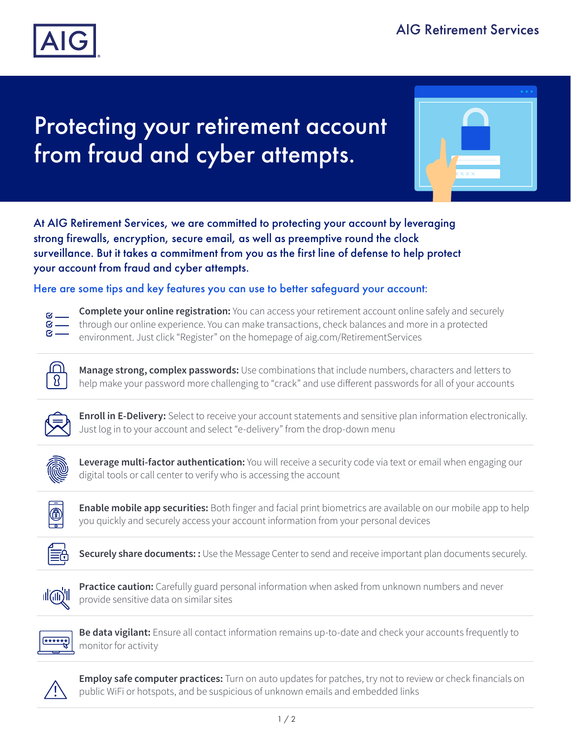

## Protecting your retirement account from fraud and cyber attempts.



At AIG Retirement Services, we are committed to protecting your account by leveraging strong firewalls, encryption, secure email, as well as preemptive round the clock surveillance. But it takes a commitment from you as the first line of defense to help protect your account from fraud and cyber attempts.

Here are some tips and key features you can use to better safeguard your account:



**Complete your online registration:** You can access your retirement account online safely and securely through our online experience. You can make transactions, check balances and more in a protected environment. Just click "Register" on the homepage of aig.com/RetirementServices



**Manage strong, complex passwords:** Use combinations that include numbers, characters and letters to help make your password more challenging to "crack" and use different passwords for all of your accounts



**Enroll in E-Delivery:** Select to receive your account statements and sensitive plan information electronically. Just log in to your account and select "e-delivery" from the drop-down menu



**Leverage multi-factor authentication:** You will receive a security code via text or email when engaging our digital tools or call center to verify who is accessing the account



**Enable mobile app securities:** Both finger and facial print biometrics are available on our mobile app to help you quickly and securely access your account information from your personal devices



**Securely share documents: :** Use the Message Center to send and receive important plan documents securely.



**Practice caution:** Carefully guard personal information when asked from unknown numbers and never provide sensitive data on similar sites



**Be data vigilant:** Ensure all contact information remains up-to-date and check your accounts frequently to monitor for activity



**Employ safe computer practices:** Turn on auto updates for patches, try not to review or check financials on public WiFi or hotspots, and be suspicious of unknown emails and embedded links